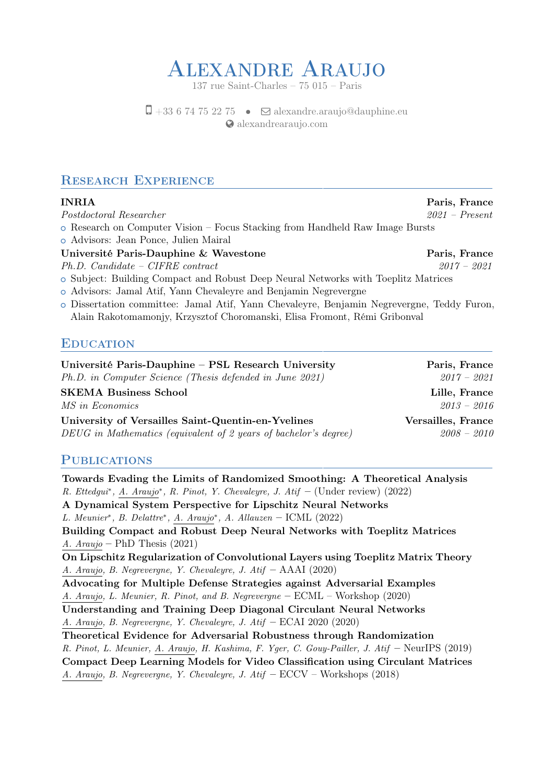# Alexandre Araujo

137 rue Saint-Charles – 75 015 – Paris

 $\Box$  +33 6 74 75 22 75 •  $\Box$  [alexandre.araujo@dauphine.eu](mailto:alexandre.araujo@dauphine.eu) [alexandrearaujo.com](http://alexandrearaujo.com)

# RESEARCH EXPERIENCE

INRIA Paris, France Postdoctoral Researcher 2021 – Present <sup>+</sup> Research on Computer Vision – Focus Stacking from Handheld Raw Image Bursts <sup>+</sup> Advisors: Jean Ponce, Julien Mairal Université Paris-Dauphine & Wavestone **Paris, France** Paris, France Ph.D. Candidate – CIFRE contract 2017 – 2021 <sup>+</sup> Subject: Building Compact and Robust Deep Neural Networks with Toeplitz Matrices <sup>+</sup> Advisors: Jamal Atif, Yann Chevaleyre and Benjamin Negrevergne <sup>+</sup> Dissertation committee: Jamal Atif, Yann Chevaleyre, Benjamin Negrevergne, Teddy Furon, Alain Rakotomamonjy, Krzysztof Choromanski, Elisa Fromont, Rémi Gribonval

# **EDUCATION**

| Université Paris-Dauphine – PSL Research University              | Paris, France      |
|------------------------------------------------------------------|--------------------|
| Ph.D. in Computer Science (Thesis defended in June 2021)         | $2017 - 2021$      |
| <b>SKEMA Business School</b>                                     | Lille, France      |
| MS in Economics                                                  | $2013 - 2016$      |
| University of Versailles Saint-Quentin-en-Yvelines               | Versailles, France |
| DEUG in Mathematics (equivalent of 2 years of bachelor's degree) | $2008 - 2010$      |
|                                                                  |                    |

# **PUBLICATIONS**

Towards Evading the Limits of Randomized Smoothing: A Theoretical Analysis R. Ettedgui<sup>∗</sup> , A. Araujo<sup>∗</sup> , R. Pinot, Y. Chevaleyre, J. Atif – (Under review) (2022) A Dynamical System Perspective for Lipschitz Neural Networks L. Meunier<sup>∗</sup> , B. Delattre<sup>∗</sup> , A. Araujo<sup>∗</sup> , A. Allauzen – ICML (2022) Building Compact and Robust Deep Neural Networks with Toeplitz Matrices A. Araujo – PhD Thesis (2021) On Lipschitz Regularization of Convolutional Layers using Toeplitz Matrix Theory A. Araujo, B. Negrevergne, Y. Chevaleyre, J. Atif – AAAI (2020) Advocating for Multiple Defense Strategies against Adversarial Examples A. Araujo, L. Meunier, R. Pinot, and B. Negrevergne – ECML – Workshop (2020) Understanding and Training Deep Diagonal Circulant Neural Networks A. Araujo, B. Negrevergne, Y. Chevaleyre, J. Atif – ECAI 2020 (2020) Theoretical Evidence for Adversarial Robustness through Randomization R. Pinot, L. Meunier, A. Araujo, H. Kashima, F. Yger, C. Gouy-Pailler, J. Atif – NeurIPS (2019) Compact Deep Learning Models for Video Classification using Circulant Matrices A. Araujo, B. Negrevergne, Y. Chevaleyre, J. Atif – ECCV – Workshops (2018)